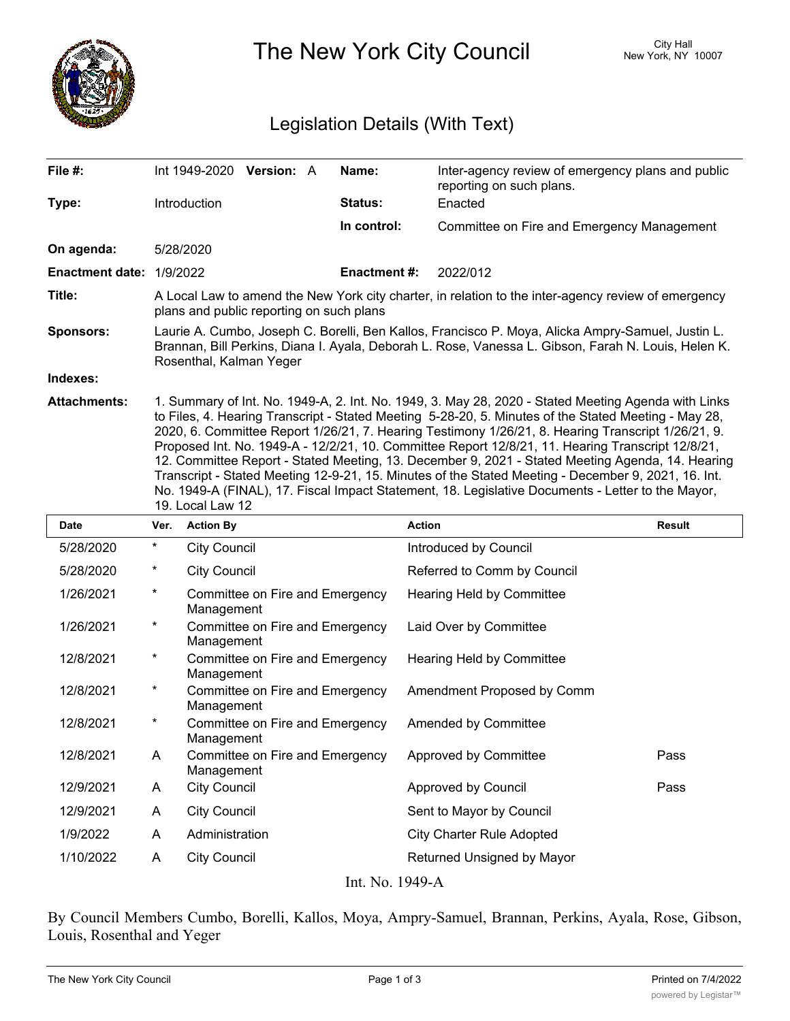

The New York City Council New York, NY 10007

## Legislation Details (With Text)

| File #:                  | Int 1949-2020                                                                                                                                                                                                                       | <b>Version: A</b> |  | Name:               | Inter-agency review of emergency plans and public<br>reporting on such plans.                       |  |
|--------------------------|-------------------------------------------------------------------------------------------------------------------------------------------------------------------------------------------------------------------------------------|-------------------|--|---------------------|-----------------------------------------------------------------------------------------------------|--|
| Type:                    | Introduction                                                                                                                                                                                                                        |                   |  | <b>Status:</b>      | Enacted                                                                                             |  |
|                          |                                                                                                                                                                                                                                     |                   |  | In control:         | Committee on Fire and Emergency Management                                                          |  |
| On agenda:               | 5/28/2020                                                                                                                                                                                                                           |                   |  |                     |                                                                                                     |  |
| Enactment date: 1/9/2022 |                                                                                                                                                                                                                                     |                   |  | <b>Enactment #:</b> | 2022/012                                                                                            |  |
| Title:                   | A Local Law to amend the New York city charter, in relation to the inter-agency review of emergency<br>plans and public reporting on such plans                                                                                     |                   |  |                     |                                                                                                     |  |
| <b>Sponsors:</b>         | Laurie A. Cumbo, Joseph C. Borelli, Ben Kallos, Francisco P. Moya, Alicka Ampry-Samuel, Justin L.<br>Brannan, Bill Perkins, Diana I. Ayala, Deborah L. Rose, Vanessa L. Gibson, Farah N. Louis, Helen K.<br>Rosenthal, Kalman Yeger |                   |  |                     |                                                                                                     |  |
| Indexes:                 |                                                                                                                                                                                                                                     |                   |  |                     |                                                                                                     |  |
| <b>Attachments:</b>      |                                                                                                                                                                                                                                     |                   |  |                     | 1. Summary of Int. No. 1949-A, 2. Int. No. 1949, 3. May 28, 2020 - Stated Meeting Agenda with Links |  |

to Files, 4. Hearing Transcript - Stated Meeting 5-28-20, 5. Minutes of the Stated Meeting - May 28, 2020, 6. Committee Report 1/26/21, 7. Hearing Testimony 1/26/21, 8. Hearing Transcript 1/26/21, 9. Proposed Int. No. 1949-A - 12/2/21, 10. Committee Report 12/8/21, 11. Hearing Transcript 12/8/21, 12. Committee Report - Stated Meeting, 13. December 9, 2021 - Stated Meeting Agenda, 14. Hearing Transcript - Stated Meeting 12-9-21, 15. Minutes of the Stated Meeting - December 9, 2021, 16. Int. No. 1949-A (FINAL), 17. Fiscal Impact Statement, 18. Legislative Documents - Letter to the Mayor, 19. Local Law 12

| <b>Date</b> | Ver.     | <b>Action By</b>                                       | <b>Action</b>                    | <b>Result</b> |
|-------------|----------|--------------------------------------------------------|----------------------------------|---------------|
| 5/28/2020   | $^\star$ | <b>City Council</b>                                    | Introduced by Council            |               |
| 5/28/2020   | $^\ast$  | <b>City Council</b>                                    | Referred to Comm by Council      |               |
| 1/26/2021   | $^\star$ | Committee on Fire and Emergency<br>Management          | Hearing Held by Committee        |               |
| 1/26/2021   | $\ast$   | Committee on Fire and Emergency<br>Management          | Laid Over by Committee           |               |
| 12/8/2021   | $^\ast$  | Committee on Fire and Emergency<br>Management          | Hearing Held by Committee        |               |
| 12/8/2021   | $^\ast$  | Committee on Fire and Emergency<br>Management          | Amendment Proposed by Comm       |               |
| 12/8/2021   | $^\star$ | Committee on Fire and Emergency<br>Management          | Amended by Committee             |               |
| 12/8/2021   | A        | Committee on Fire and Emergency<br>Management          | Approved by Committee            | Pass          |
| 12/9/2021   | A        | <b>City Council</b>                                    | Approved by Council              | Pass          |
| 12/9/2021   | A        | <b>City Council</b>                                    | Sent to Mayor by Council         |               |
| 1/9/2022    | A        | Administration                                         | <b>City Charter Rule Adopted</b> |               |
| 1/10/2022   | A        | <b>City Council</b><br>$I_{n+}$ $N_{o}$ 1040 $\Lambda$ | Returned Unsigned by Mayor       |               |

Int. No. 1949-A

By Council Members Cumbo, Borelli, Kallos, Moya, Ampry-Samuel, Brannan, Perkins, Ayala, Rose, Gibson, Louis, Rosenthal and Yeger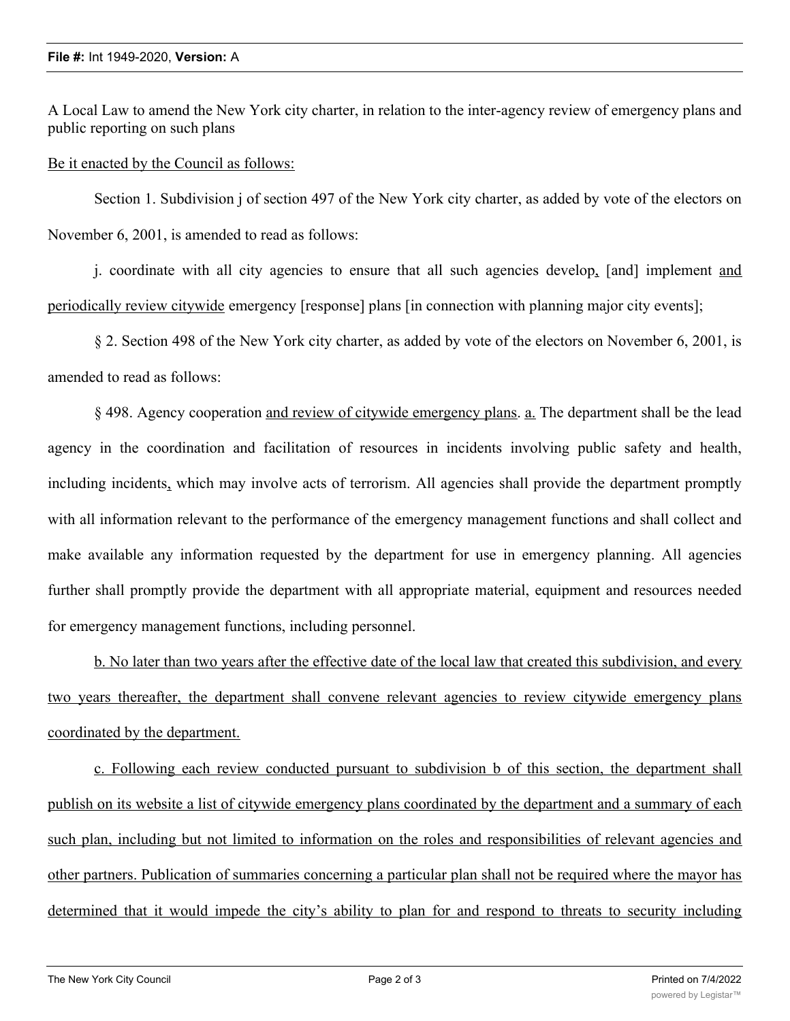A Local Law to amend the New York city charter, in relation to the inter-agency review of emergency plans and public reporting on such plans

Be it enacted by the Council as follows:

Section 1. Subdivision j of section 497 of the New York city charter, as added by vote of the electors on November 6, 2001, is amended to read as follows:

j. coordinate with all city agencies to ensure that all such agencies develop, [and] implement and periodically review citywide emergency [response] plans [in connection with planning major city events];

§ 2. Section 498 of the New York city charter, as added by vote of the electors on November 6, 2001, is amended to read as follows:

§ 498. Agency cooperation and review of citywide emergency plans. a. The department shall be the lead agency in the coordination and facilitation of resources in incidents involving public safety and health, including incidents, which may involve acts of terrorism. All agencies shall provide the department promptly with all information relevant to the performance of the emergency management functions and shall collect and make available any information requested by the department for use in emergency planning. All agencies further shall promptly provide the department with all appropriate material, equipment and resources needed for emergency management functions, including personnel.

b. No later than two years after the effective date of the local law that created this subdivision, and every two years thereafter, the department shall convene relevant agencies to review citywide emergency plans coordinated by the department.

c. Following each review conducted pursuant to subdivision b of this section, the department shall publish on its website a list of citywide emergency plans coordinated by the department and a summary of each such plan, including but not limited to information on the roles and responsibilities of relevant agencies and other partners. Publication of summaries concerning a particular plan shall not be required where the mayor has determined that it would impede the city's ability to plan for and respond to threats to security including